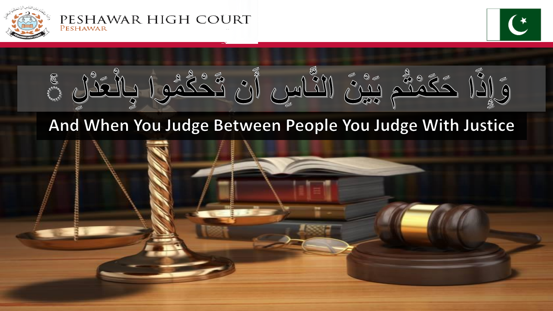

PESHAWAR HIGH COURT PESHAWAR





# And When You Judge Between People You Judge With Justice

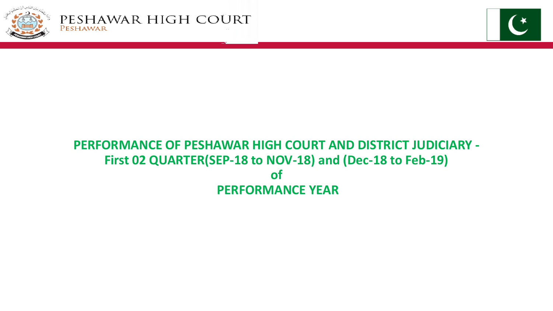



## **PERFORMANCE OF PESHAWAR HIGH COURT AND DISTRICT JUDICIARY - First 02 QUARTER(SEP-18 to NOV-18) and (Dec-18 to Feb-19) of PERFORMANCE YEAR**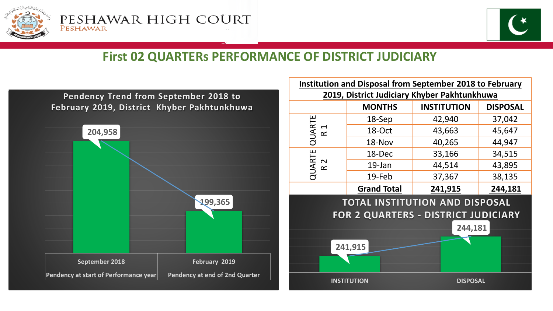



### **First 02 QUARTERs PERFORMANCE OF DISTRICT JUDICIARY**



| Institution and Disposal from September 2018 to February<br>2019, District Judiciary Khyber Pakhtunkhuwa |                    |                    |                 |  |  |
|----------------------------------------------------------------------------------------------------------|--------------------|--------------------|-----------------|--|--|
|                                                                                                          | <b>MONTHS</b>      | <b>INSTITUTION</b> | <b>DISPOSAL</b> |  |  |
| QUARTE<br>$\blacktriangleleft$<br>$\alpha$                                                               | 18-Sep             | 42,940             | 37,042          |  |  |
|                                                                                                          | 18-Oct             | 43,663             | 45,647          |  |  |
|                                                                                                          | 18-Nov             | 40,265             | 44,947          |  |  |
| QUARTE<br>$\sim$<br>$\boldsymbol{\underline{\alpha}}$                                                    | 18-Dec             | 33,166             | 34,515          |  |  |
|                                                                                                          | 19-Jan             | 44,514             | 43,895          |  |  |
|                                                                                                          | 19-Feb             | 37,367             | 38,135          |  |  |
|                                                                                                          | <b>Grand Total</b> | 241,915            | 244,181         |  |  |
| TOTAL INSTITUTION AND DISPOSAL                                                                           |                    |                    |                 |  |  |
| FOR 2 QUARTERS - DISTRICT JUDICIARY                                                                      |                    |                    |                 |  |  |
| 244,181                                                                                                  |                    |                    |                 |  |  |
|                                                                                                          |                    |                    |                 |  |  |
| 241,915                                                                                                  |                    |                    |                 |  |  |
|                                                                                                          |                    |                    |                 |  |  |
| <b>INSTITUTION</b>                                                                                       |                    | <b>DISPOSAL</b>    |                 |  |  |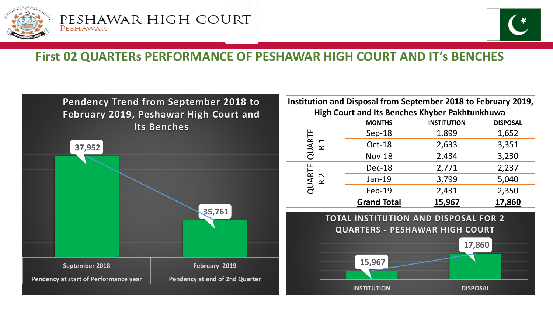



### **First 02 QUARTERs PERFORMANCE OF PESHAWAR HIGH COURT AND IT's BENCHES**

![](_page_3_Figure_4.jpeg)

| Institution and Disposal from September 2018 to February 2019, |                    |                    |                 |  |
|----------------------------------------------------------------|--------------------|--------------------|-----------------|--|
| High Court and Its Benches Khyber Pakhtunkhuwa                 |                    |                    |                 |  |
|                                                                | <b>MONTHS</b>      | <b>INSTITUTION</b> | <b>DISPOSAL</b> |  |
| QUARTE<br>R <sub>1</sub>                                       | $Sep-18$           | 1,899              | 1,652           |  |
|                                                                | Oct-18             | 2,633              | 3,351           |  |
|                                                                | <b>Nov-18</b>      | 2,434              | 3,230           |  |
| QUARTE<br>R 2                                                  | Dec-18             | 2,771              | 2,237           |  |
|                                                                | Jan-19             | 3,799              | 5,040           |  |
|                                                                | Feb-19             | 2,431              | 2,350           |  |
|                                                                | <b>Grand Total</b> | 15,967             | 17,860          |  |
|                                                                |                    |                    |                 |  |

**TOTAL INSTITUTION AND DISPOSAL FOR 2 QUARTERS - PESHAWAR HIGH COURT**

![](_page_3_Figure_7.jpeg)